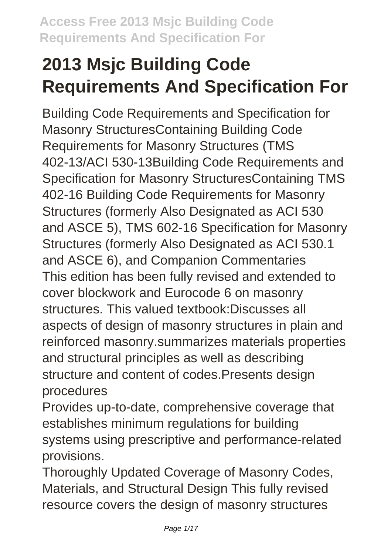# **2013 Msjc Building Code Requirements And Specification For**

Building Code Requirements and Specification for Masonry StructuresContaining Building Code Requirements for Masonry Structures (TMS 402-13/ACI 530-13Building Code Requirements and Specification for Masonry StructuresContaining TMS 402-16 Building Code Requirements for Masonry Structures (formerly Also Designated as ACI 530 and ASCE 5), TMS 602-16 Specification for Masonry Structures (formerly Also Designated as ACI 530.1 and ASCE 6), and Companion Commentaries This edition has been fully revised and extended to cover blockwork and Eurocode 6 on masonry structures. This valued textbook:Discusses all aspects of design of masonry structures in plain and reinforced masonry.summarizes materials properties and structural principles as well as describing structure and content of codes.Presents design procedures

Provides up-to-date, comprehensive coverage that establishes minimum regulations for building systems using prescriptive and performance-related provisions.

Thoroughly Updated Coverage of Masonry Codes, Materials, and Structural Design This fully revised resource covers the design of masonry structures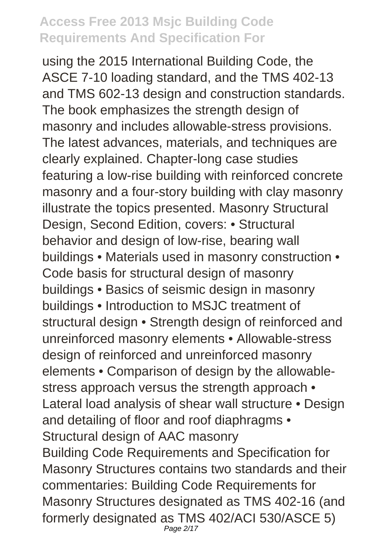using the 2015 International Building Code, the ASCE 7-10 loading standard, and the TMS 402-13 and TMS 602-13 design and construction standards. The book emphasizes the strength design of masonry and includes allowable-stress provisions. The latest advances, materials, and techniques are clearly explained. Chapter-long case studies featuring a low-rise building with reinforced concrete masonry and a four-story building with clay masonry illustrate the topics presented. Masonry Structural Design, Second Edition, covers: • Structural behavior and design of low-rise, bearing wall buildings • Materials used in masonry construction • Code basis for structural design of masonry buildings • Basics of seismic design in masonry buildings • Introduction to MSJC treatment of structural design • Strength design of reinforced and unreinforced masonry elements • Allowable-stress design of reinforced and unreinforced masonry elements • Comparison of design by the allowablestress approach versus the strength approach • Lateral load analysis of shear wall structure • Design and detailing of floor and roof diaphragms • Structural design of AAC masonry Building Code Requirements and Specification for Masonry Structures contains two standards and their commentaries: Building Code Requirements for Masonry Structures designated as TMS 402-16 (and formerly designated as TMS 402/ACI 530/ASCE 5) Page 2/17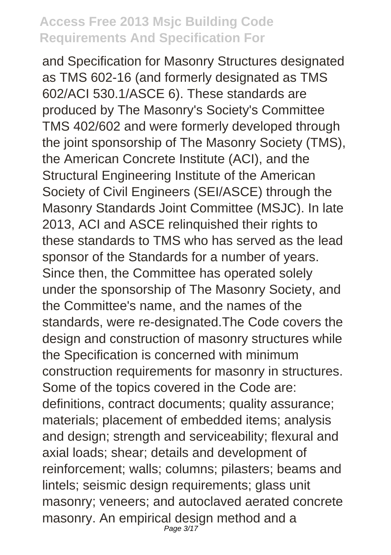and Specification for Masonry Structures designated as TMS 602-16 (and formerly designated as TMS 602/ACI 530.1/ASCE 6). These standards are produced by The Masonry's Society's Committee TMS 402/602 and were formerly developed through the joint sponsorship of The Masonry Society (TMS), the American Concrete Institute (ACI), and the Structural Engineering Institute of the American Society of Civil Engineers (SEI/ASCE) through the Masonry Standards Joint Committee (MSJC). In late 2013, ACI and ASCE relinquished their rights to these standards to TMS who has served as the lead sponsor of the Standards for a number of years. Since then, the Committee has operated solely under the sponsorship of The Masonry Society, and the Committee's name, and the names of the standards, were re-designated.The Code covers the design and construction of masonry structures while the Specification is concerned with minimum construction requirements for masonry in structures. Some of the topics covered in the Code are: definitions, contract documents; quality assurance; materials; placement of embedded items; analysis and design; strength and serviceability; flexural and axial loads; shear; details and development of reinforcement; walls; columns; pilasters; beams and lintels; seismic design requirements; glass unit masonry; veneers; and autoclaved aerated concrete masonry. An empirical design method and a Page 3/17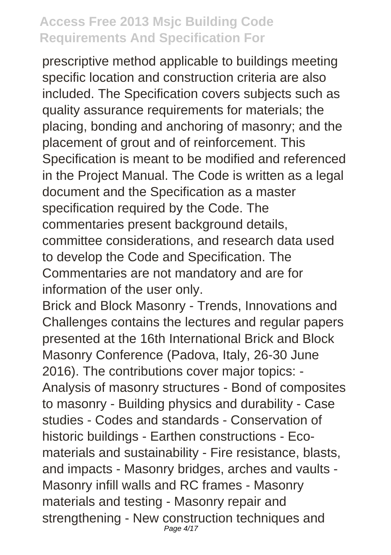prescriptive method applicable to buildings meeting specific location and construction criteria are also included. The Specification covers subjects such as quality assurance requirements for materials; the placing, bonding and anchoring of masonry; and the placement of grout and of reinforcement. This Specification is meant to be modified and referenced in the Project Manual. The Code is written as a legal document and the Specification as a master specification required by the Code. The commentaries present background details, committee considerations, and research data used to develop the Code and Specification. The Commentaries are not mandatory and are for information of the user only.

Brick and Block Masonry - Trends, Innovations and Challenges contains the lectures and regular papers presented at the 16th International Brick and Block Masonry Conference (Padova, Italy, 26-30 June 2016). The contributions cover major topics: - Analysis of masonry structures - Bond of composites to masonry - Building physics and durability - Case studies - Codes and standards - Conservation of historic buildings - Earthen constructions - Ecomaterials and sustainability - Fire resistance, blasts, and impacts - Masonry bridges, arches and vaults - Masonry infill walls and RC frames - Masonry materials and testing - Masonry repair and strengthening - New construction techniques and Page 4/17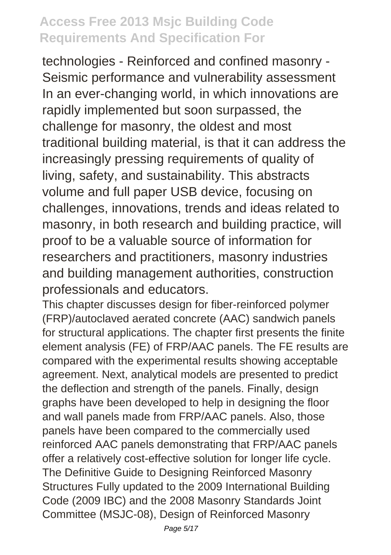technologies - Reinforced and confined masonry - Seismic performance and vulnerability assessment In an ever-changing world, in which innovations are rapidly implemented but soon surpassed, the challenge for masonry, the oldest and most traditional building material, is that it can address the increasingly pressing requirements of quality of living, safety, and sustainability. This abstracts volume and full paper USB device, focusing on challenges, innovations, trends and ideas related to masonry, in both research and building practice, will proof to be a valuable source of information for researchers and practitioners, masonry industries and building management authorities, construction professionals and educators.

This chapter discusses design for fiber-reinforced polymer (FRP)/autoclaved aerated concrete (AAC) sandwich panels for structural applications. The chapter first presents the finite element analysis (FE) of FRP/AAC panels. The FE results are compared with the experimental results showing acceptable agreement. Next, analytical models are presented to predict the deflection and strength of the panels. Finally, design graphs have been developed to help in designing the floor and wall panels made from FRP/AAC panels. Also, those panels have been compared to the commercially used reinforced AAC panels demonstrating that FRP/AAC panels offer a relatively cost-effective solution for longer life cycle. The Definitive Guide to Designing Reinforced Masonry Structures Fully updated to the 2009 International Building Code (2009 IBC) and the 2008 Masonry Standards Joint Committee (MSJC-08), Design of Reinforced Masonry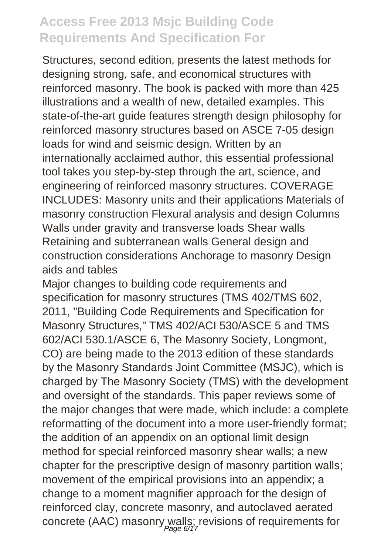Structures, second edition, presents the latest methods for designing strong, safe, and economical structures with reinforced masonry. The book is packed with more than 425 illustrations and a wealth of new, detailed examples. This state-of-the-art guide features strength design philosophy for reinforced masonry structures based on ASCE 7-05 design loads for wind and seismic design. Written by an internationally acclaimed author, this essential professional tool takes you step-by-step through the art, science, and engineering of reinforced masonry structures. COVERAGE INCLUDES: Masonry units and their applications Materials of masonry construction Flexural analysis and design Columns Walls under gravity and transverse loads Shear walls Retaining and subterranean walls General design and construction considerations Anchorage to masonry Design aids and tables

Major changes to building code requirements and specification for masonry structures (TMS 402/TMS 602, 2011, "Building Code Requirements and Specification for Masonry Structures," TMS 402/ACI 530/ASCE 5 and TMS 602/ACI 530.1/ASCE 6, The Masonry Society, Longmont, CO) are being made to the 2013 edition of these standards by the Masonry Standards Joint Committee (MSJC), which is charged by The Masonry Society (TMS) with the development and oversight of the standards. This paper reviews some of the major changes that were made, which include: a complete reformatting of the document into a more user-friendly format; the addition of an appendix on an optional limit design method for special reinforced masonry shear walls; a new chapter for the prescriptive design of masonry partition walls; movement of the empirical provisions into an appendix; a change to a moment magnifier approach for the design of reinforced clay, concrete masonry, and autoclaved aerated concrete (AAC) masonry walls; revisions of requirements for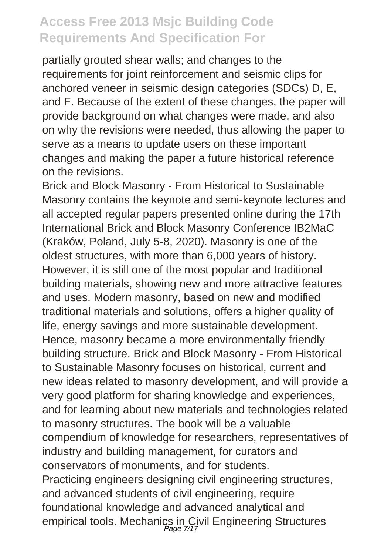partially grouted shear walls; and changes to the requirements for joint reinforcement and seismic clips for anchored veneer in seismic design categories (SDCs) D, E, and F. Because of the extent of these changes, the paper will provide background on what changes were made, and also on why the revisions were needed, thus allowing the paper to serve as a means to update users on these important changes and making the paper a future historical reference on the revisions.

Brick and Block Masonry - From Historical to Sustainable Masonry contains the keynote and semi-keynote lectures and all accepted regular papers presented online during the 17th International Brick and Block Masonry Conference IB2MaC (Kraków, Poland, July 5-8, 2020). Masonry is one of the oldest structures, with more than 6,000 years of history. However, it is still one of the most popular and traditional building materials, showing new and more attractive features and uses. Modern masonry, based on new and modified traditional materials and solutions, offers a higher quality of life, energy savings and more sustainable development. Hence, masonry became a more environmentally friendly building structure. Brick and Block Masonry - From Historical to Sustainable Masonry focuses on historical, current and new ideas related to masonry development, and will provide a very good platform for sharing knowledge and experiences, and for learning about new materials and technologies related to masonry structures. The book will be a valuable compendium of knowledge for researchers, representatives of industry and building management, for curators and conservators of monuments, and for students. Practicing engineers designing civil engineering structures, and advanced students of civil engineering, require foundational knowledge and advanced analytical and empirical tools. Mechanics in Civil Engineering Structures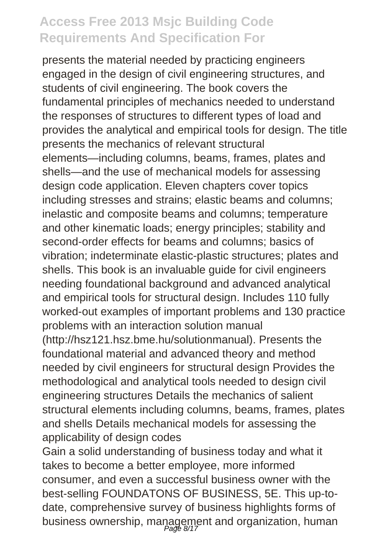presents the material needed by practicing engineers engaged in the design of civil engineering structures, and students of civil engineering. The book covers the fundamental principles of mechanics needed to understand the responses of structures to different types of load and provides the analytical and empirical tools for design. The title presents the mechanics of relevant structural elements—including columns, beams, frames, plates and shells—and the use of mechanical models for assessing design code application. Eleven chapters cover topics including stresses and strains; elastic beams and columns; inelastic and composite beams and columns; temperature and other kinematic loads; energy principles; stability and second-order effects for beams and columns; basics of vibration; indeterminate elastic-plastic structures; plates and shells. This book is an invaluable guide for civil engineers needing foundational background and advanced analytical and empirical tools for structural design. Includes 110 fully worked-out examples of important problems and 130 practice problems with an interaction solution manual (http://hsz121.hsz.bme.hu/solutionmanual). Presents the foundational material and advanced theory and method needed by civil engineers for structural design Provides the methodological and analytical tools needed to design civil engineering structures Details the mechanics of salient structural elements including columns, beams, frames, plates and shells Details mechanical models for assessing the applicability of design codes

Gain a solid understanding of business today and what it takes to become a better employee, more informed consumer, and even a successful business owner with the best-selling FOUNDATONS OF BUSINESS, 5E. This up-todate, comprehensive survey of business highlights forms of business ownership, management and organization, human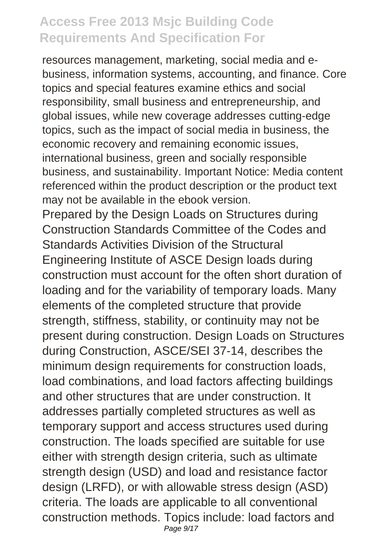resources management, marketing, social media and ebusiness, information systems, accounting, and finance. Core topics and special features examine ethics and social responsibility, small business and entrepreneurship, and global issues, while new coverage addresses cutting-edge topics, such as the impact of social media in business, the economic recovery and remaining economic issues, international business, green and socially responsible business, and sustainability. Important Notice: Media content referenced within the product description or the product text may not be available in the ebook version.

Prepared by the Design Loads on Structures during Construction Standards Committee of the Codes and Standards Activities Division of the Structural Engineering Institute of ASCE Design loads during construction must account for the often short duration of loading and for the variability of temporary loads. Many elements of the completed structure that provide strength, stiffness, stability, or continuity may not be present during construction. Design Loads on Structures during Construction, ASCE/SEI 37-14, describes the minimum design requirements for construction loads, load combinations, and load factors affecting buildings and other structures that are under construction. It addresses partially completed structures as well as temporary support and access structures used during construction. The loads specified are suitable for use either with strength design criteria, such as ultimate strength design (USD) and load and resistance factor design (LRFD), or with allowable stress design (ASD) criteria. The loads are applicable to all conventional construction methods. Topics include: load factors and Page 9/17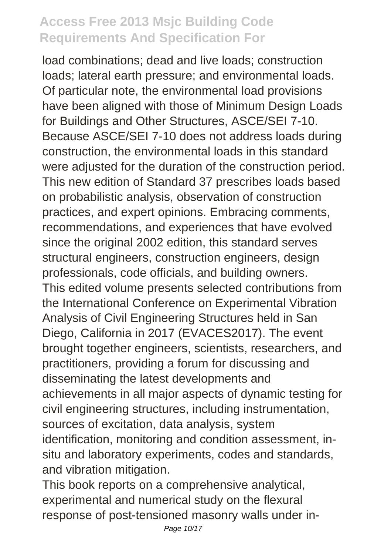load combinations; dead and live loads; construction loads; lateral earth pressure; and environmental loads. Of particular note, the environmental load provisions have been aligned with those of Minimum Design Loads for Buildings and Other Structures, ASCE/SEI 7-10. Because ASCE/SEI 7-10 does not address loads during construction, the environmental loads in this standard were adjusted for the duration of the construction period. This new edition of Standard 37 prescribes loads based on probabilistic analysis, observation of construction practices, and expert opinions. Embracing comments, recommendations, and experiences that have evolved since the original 2002 edition, this standard serves structural engineers, construction engineers, design professionals, code officials, and building owners. This edited volume presents selected contributions from the International Conference on Experimental Vibration Analysis of Civil Engineering Structures held in San Diego, California in 2017 (EVACES2017). The event brought together engineers, scientists, researchers, and practitioners, providing a forum for discussing and disseminating the latest developments and achievements in all major aspects of dynamic testing for civil engineering structures, including instrumentation, sources of excitation, data analysis, system identification, monitoring and condition assessment, insitu and laboratory experiments, codes and standards, and vibration mitigation.

This book reports on a comprehensive analytical, experimental and numerical study on the flexural response of post-tensioned masonry walls under in-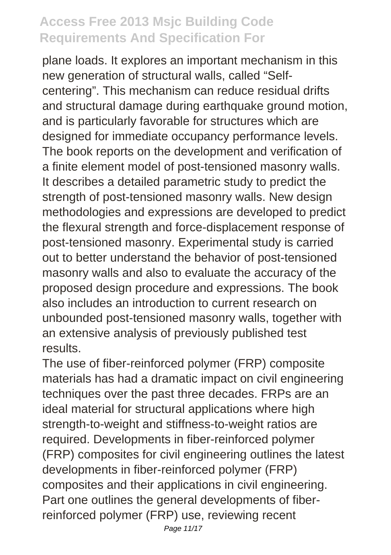plane loads. It explores an important mechanism in this new generation of structural walls, called "Selfcentering". This mechanism can reduce residual drifts and structural damage during earthquake ground motion, and is particularly favorable for structures which are designed for immediate occupancy performance levels. The book reports on the development and verification of a finite element model of post-tensioned masonry walls. It describes a detailed parametric study to predict the strength of post-tensioned masonry walls. New design methodologies and expressions are developed to predict the flexural strength and force-displacement response of post-tensioned masonry. Experimental study is carried out to better understand the behavior of post-tensioned masonry walls and also to evaluate the accuracy of the proposed design procedure and expressions. The book also includes an introduction to current research on unbounded post-tensioned masonry walls, together with an extensive analysis of previously published test results.

The use of fiber-reinforced polymer (FRP) composite materials has had a dramatic impact on civil engineering techniques over the past three decades. FRPs are an ideal material for structural applications where high strength-to-weight and stiffness-to-weight ratios are required. Developments in fiber-reinforced polymer (FRP) composites for civil engineering outlines the latest developments in fiber-reinforced polymer (FRP) composites and their applications in civil engineering. Part one outlines the general developments of fiberreinforced polymer (FRP) use, reviewing recent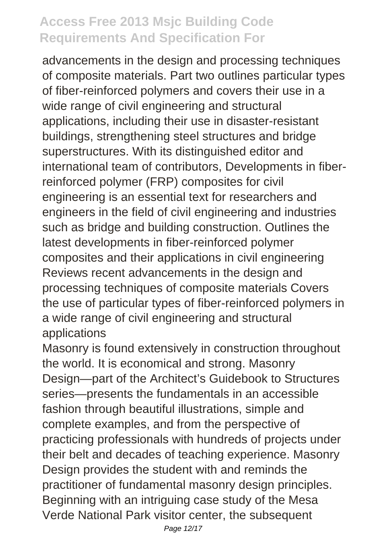advancements in the design and processing techniques of composite materials. Part two outlines particular types of fiber-reinforced polymers and covers their use in a wide range of civil engineering and structural applications, including their use in disaster-resistant buildings, strengthening steel structures and bridge superstructures. With its distinguished editor and international team of contributors, Developments in fiberreinforced polymer (FRP) composites for civil engineering is an essential text for researchers and engineers in the field of civil engineering and industries such as bridge and building construction. Outlines the latest developments in fiber-reinforced polymer composites and their applications in civil engineering Reviews recent advancements in the design and processing techniques of composite materials Covers the use of particular types of fiber-reinforced polymers in a wide range of civil engineering and structural applications

Masonry is found extensively in construction throughout the world. It is economical and strong. Masonry Design—part of the Architect's Guidebook to Structures series—presents the fundamentals in an accessible fashion through beautiful illustrations, simple and complete examples, and from the perspective of practicing professionals with hundreds of projects under their belt and decades of teaching experience. Masonry Design provides the student with and reminds the practitioner of fundamental masonry design principles. Beginning with an intriguing case study of the Mesa Verde National Park visitor center, the subsequent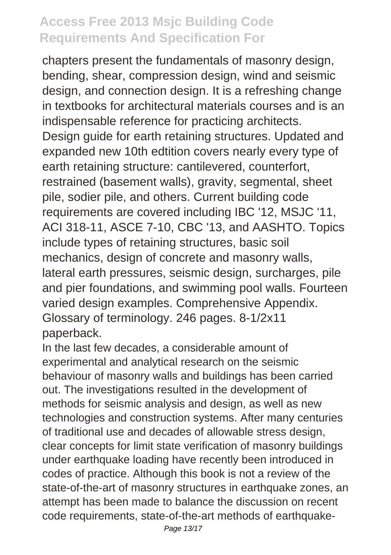chapters present the fundamentals of masonry design, bending, shear, compression design, wind and seismic design, and connection design. It is a refreshing change in textbooks for architectural materials courses and is an indispensable reference for practicing architects. Design guide for earth retaining structures. Updated and expanded new 10th edtition covers nearly every type of earth retaining structure: cantilevered, counterfort, restrained (basement walls), gravity, segmental, sheet pile, sodier pile, and others. Current building code requirements are covered including IBC '12, MSJC '11, ACI 318-11, ASCE 7-10, CBC '13, and AASHTO. Topics include types of retaining structures, basic soil mechanics, design of concrete and masonry walls, lateral earth pressures, seismic design, surcharges, pile and pier foundations, and swimming pool walls. Fourteen varied design examples. Comprehensive Appendix. Glossary of terminology. 246 pages. 8-1/2x11 paperback.

In the last few decades, a considerable amount of experimental and analytical research on the seismic behaviour of masonry walls and buildings has been carried out. The investigations resulted in the development of methods for seismic analysis and design, as well as new technologies and construction systems. After many centuries of traditional use and decades of allowable stress design, clear concepts for limit state verification of masonry buildings under earthquake loading have recently been introduced in codes of practice. Although this book is not a review of the state-of-the-art of masonry structures in earthquake zones, an attempt has been made to balance the discussion on recent code requirements, state-of-the-art methods of earthquake-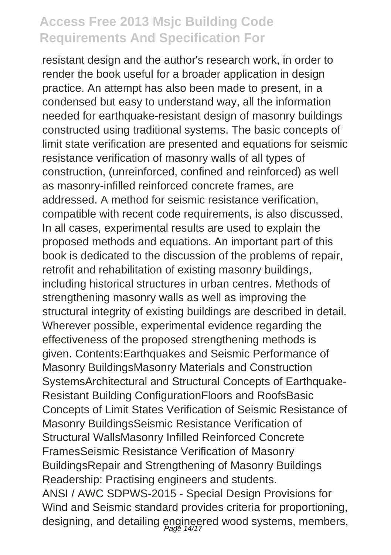resistant design and the author's research work, in order to render the book useful for a broader application in design practice. An attempt has also been made to present, in a condensed but easy to understand way, all the information needed for earthquake-resistant design of masonry buildings constructed using traditional systems. The basic concepts of limit state verification are presented and equations for seismic resistance verification of masonry walls of all types of construction, (unreinforced, confined and reinforced) as well as masonry-infilled reinforced concrete frames, are addressed. A method for seismic resistance verification, compatible with recent code requirements, is also discussed. In all cases, experimental results are used to explain the proposed methods and equations. An important part of this book is dedicated to the discussion of the problems of repair, retrofit and rehabilitation of existing masonry buildings, including historical structures in urban centres. Methods of strengthening masonry walls as well as improving the structural integrity of existing buildings are described in detail. Wherever possible, experimental evidence regarding the effectiveness of the proposed strengthening methods is given. Contents:Earthquakes and Seismic Performance of Masonry BuildingsMasonry Materials and Construction SystemsArchitectural and Structural Concepts of Earthquake-Resistant Building ConfigurationFloors and RoofsBasic Concepts of Limit States Verification of Seismic Resistance of Masonry BuildingsSeismic Resistance Verification of Structural WallsMasonry Infilled Reinforced Concrete FramesSeismic Resistance Verification of Masonry BuildingsRepair and Strengthening of Masonry Buildings Readership: Practising engineers and students. ANSI / AWC SDPWS-2015 - Special Design Provisions for Wind and Seismic standard provides criteria for proportioning, designing, and detailing engineered wood systems, members,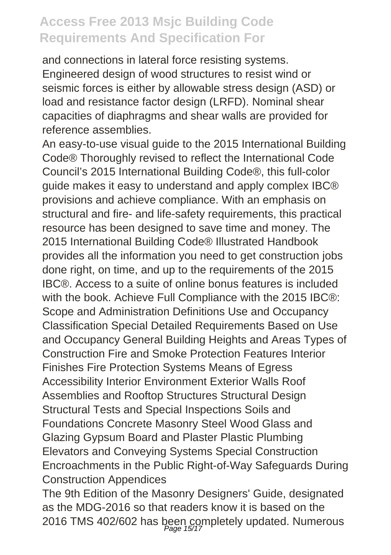and connections in lateral force resisting systems. Engineered design of wood structures to resist wind or seismic forces is either by allowable stress design (ASD) or load and resistance factor design (LRFD). Nominal shear capacities of diaphragms and shear walls are provided for reference assemblies.

An easy-to-use visual guide to the 2015 International Building Code® Thoroughly revised to reflect the International Code Council's 2015 International Building Code®, this full-color guide makes it easy to understand and apply complex IBC® provisions and achieve compliance. With an emphasis on structural and fire- and life-safety requirements, this practical resource has been designed to save time and money. The 2015 International Building Code® Illustrated Handbook provides all the information you need to get construction jobs done right, on time, and up to the requirements of the 2015 IBC®. Access to a suite of online bonus features is included with the book. Achieve Full Compliance with the 2015 IBC®: Scope and Administration Definitions Use and Occupancy Classification Special Detailed Requirements Based on Use and Occupancy General Building Heights and Areas Types of Construction Fire and Smoke Protection Features Interior Finishes Fire Protection Systems Means of Egress Accessibility Interior Environment Exterior Walls Roof Assemblies and Rooftop Structures Structural Design Structural Tests and Special Inspections Soils and Foundations Concrete Masonry Steel Wood Glass and Glazing Gypsum Board and Plaster Plastic Plumbing Elevators and Conveying Systems Special Construction Encroachments in the Public Right-of-Way Safeguards During Construction Appendices

The 9th Edition of the Masonry Designers' Guide, designated as the MDG-2016 so that readers know it is based on the 2016 TMS 402/602 has been completely updated. Numerous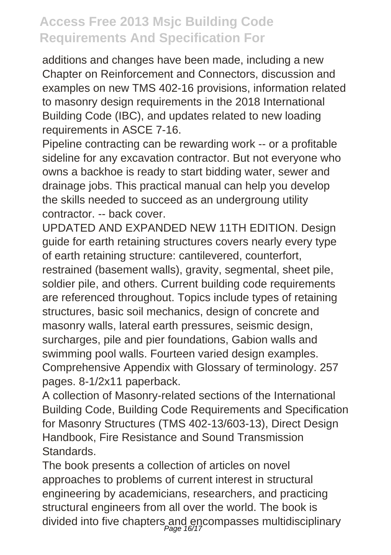additions and changes have been made, including a new Chapter on Reinforcement and Connectors, discussion and examples on new TMS 402-16 provisions, information related to masonry design requirements in the 2018 International Building Code (IBC), and updates related to new loading requirements in ASCE 7-16.

Pipeline contracting can be rewarding work -- or a profitable sideline for any excavation contractor. But not everyone who owns a backhoe is ready to start bidding water, sewer and drainage jobs. This practical manual can help you develop the skills needed to succeed as an undergroung utility contractor. -- back cover.

UPDATED AND EXPANDED NEW 11TH EDITION. Design guide for earth retaining structures covers nearly every type of earth retaining structure: cantilevered, counterfort,

restrained (basement walls), gravity, segmental, sheet pile, soldier pile, and others. Current building code requirements are referenced throughout. Topics include types of retaining structures, basic soil mechanics, design of concrete and masonry walls, lateral earth pressures, seismic design, surcharges, pile and pier foundations, Gabion walls and swimming pool walls. Fourteen varied design examples. Comprehensive Appendix with Glossary of terminology. 257 pages. 8-1/2x11 paperback.

A collection of Masonry-related sections of the International Building Code, Building Code Requirements and Specification for Masonry Structures (TMS 402-13/603-13), Direct Design Handbook, Fire Resistance and Sound Transmission **Standards** 

The book presents a collection of articles on novel approaches to problems of current interest in structural engineering by academicians, researchers, and practicing structural engineers from all over the world. The book is divided into five chapters and encompasses multidisciplinary